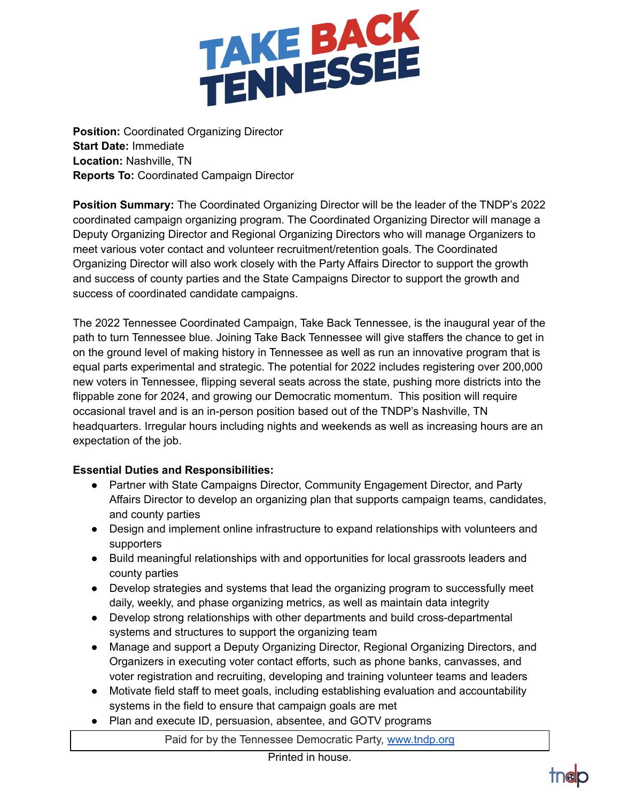

**Position:** Coordinated Organizing Director **Start Date:** Immediate **Location:** Nashville, TN **Reports To:** Coordinated Campaign Director

**Position Summary:** The Coordinated Organizing Director will be the leader of the TNDP's 2022 coordinated campaign organizing program. The Coordinated Organizing Director will manage a Deputy Organizing Director and Regional Organizing Directors who will manage Organizers to meet various voter contact and volunteer recruitment/retention goals. The Coordinated Organizing Director will also work closely with the Party Affairs Director to support the growth and success of county parties and the State Campaigns Director to support the growth and success of coordinated candidate campaigns.

The 2022 Tennessee Coordinated Campaign, Take Back Tennessee, is the inaugural year of the path to turn Tennessee blue. Joining Take Back Tennessee will give staffers the chance to get in on the ground level of making history in Tennessee as well as run an innovative program that is equal parts experimental and strategic. The potential for 2022 includes registering over 200,000 new voters in Tennessee, flipping several seats across the state, pushing more districts into the flippable zone for 2024, and growing our Democratic momentum. This position will require occasional travel and is an in-person position based out of the TNDP's Nashville, TN headquarters. Irregular hours including nights and weekends as well as increasing hours are an expectation of the job.

## **Essential Duties and Responsibilities:**

- Partner with State Campaigns Director, Community Engagement Director, and Party Affairs Director to develop an organizing plan that supports campaign teams, candidates, and county parties
- Design and implement online infrastructure to expand relationships with volunteers and supporters
- Build meaningful relationships with and opportunities for local grassroots leaders and county parties
- Develop strategies and systems that lead the organizing program to successfully meet daily, weekly, and phase organizing metrics, as well as maintain data integrity
- Develop strong relationships with other departments and build cross-departmental systems and structures to support the organizing team
- Manage and support a Deputy Organizing Director, Regional Organizing Directors, and Organizers in executing voter contact efforts, such as phone banks, canvasses, and voter registration and recruiting, developing and training volunteer teams and leaders
- Motivate field staff to meet goals, including establishing evaluation and accountability systems in the field to ensure that campaign goals are met
- Plan and execute ID, persuasion, absentee, and GOTV programs

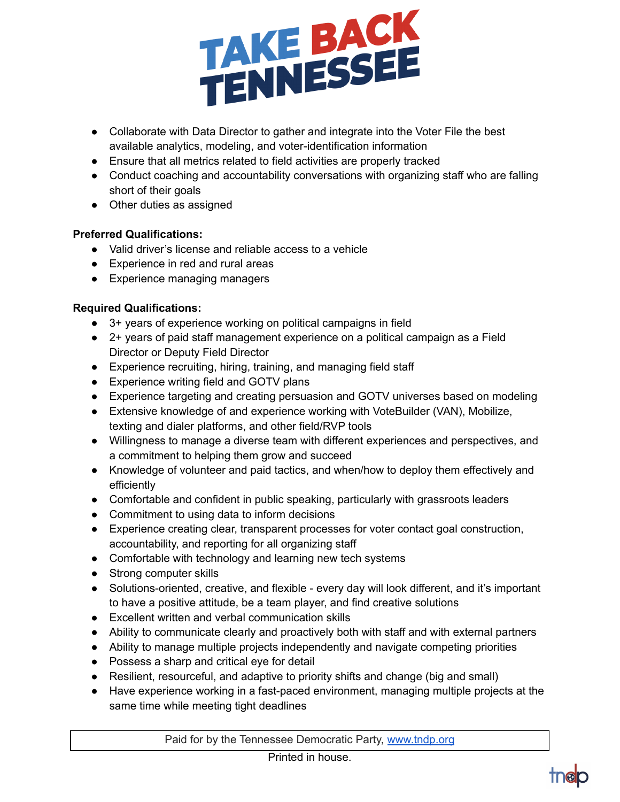

- Collaborate with Data Director to gather and integrate into the Voter File the best available analytics, modeling, and voter-identification information
- Ensure that all metrics related to field activities are properly tracked
- Conduct coaching and accountability conversations with organizing staff who are falling short of their goals
- Other duties as assigned

## **Preferred Qualifications:**

- Valid driver's license and reliable access to a vehicle
- Experience in red and rural areas
- Experience managing managers

## **Required Qualifications:**

- 3+ years of experience working on political campaigns in field
- 2+ years of paid staff management experience on a political campaign as a Field Director or Deputy Field Director
- Experience recruiting, hiring, training, and managing field staff
- Experience writing field and GOTV plans
- Experience targeting and creating persuasion and GOTV universes based on modeling
- Extensive knowledge of and experience working with VoteBuilder (VAN), Mobilize, texting and dialer platforms, and other field/RVP tools
- Willingness to manage a diverse team with different experiences and perspectives, and a commitment to helping them grow and succeed
- Knowledge of volunteer and paid tactics, and when/how to deploy them effectively and efficiently
- Comfortable and confident in public speaking, particularly with grassroots leaders
- Commitment to using data to inform decisions
- Experience creating clear, transparent processes for voter contact goal construction, accountability, and reporting for all organizing staff
- Comfortable with technology and learning new tech systems
- Strong computer skills
- Solutions-oriented, creative, and flexible every day will look different, and it's important to have a positive attitude, be a team player, and find creative solutions
- Excellent written and verbal communication skills
- Ability to communicate clearly and proactively both with staff and with external partners
- Ability to manage multiple projects independently and navigate competing priorities
- Possess a sharp and critical eye for detail
- Resilient, resourceful, and adaptive to priority shifts and change (big and small)
- Have experience working in a fast-paced environment, managing multiple projects at the same time while meeting tight deadlines

Paid for by the Tennessee Democratic Party, [www.tndp.org](http://www.tndp.org/)